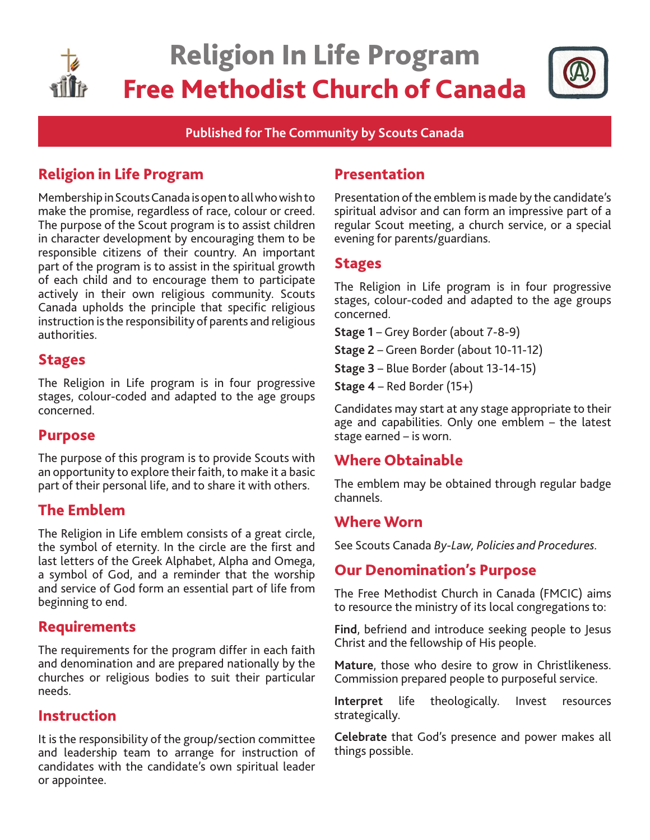

**Published for The Community by Scouts Canada**

# Religion in Life Program

Membership in Scouts Canada is open to all who wish to make the promise, regardless of race, colour or creed. The purpose of the Scout program is to assist children in character development by encouraging them to be responsible citizens of their country. An important part of the program is to assist in the spiritual growth of each child and to encourage them to participate actively in their own religious community. Scouts Canada upholds the principle that specific religious instruction is the responsibility of parents and religious authorities.

# Stages

The Religion in Life program is in four progressive stages, colour-coded and adapted to the age groups concerned.

## Purpose

The purpose of this program is to provide Scouts with an opportunity to explore their faith, to make it a basic part of their personal life, and to share it with others.

# The Emblem

The Religion in Life emblem consists of a great circle, the symbol of eternity. In the circle are the first and last letters of the Greek Alphabet, Alpha and Omega, a symbol of God, and a reminder that the worship and service of God form an essential part of life from beginning to end.

## Requirements

The requirements for the program differ in each faith and denomination and are prepared nationally by the churches or religious bodies to suit their particular needs.

# Instruction

It is the responsibility of the group/section committee and leadership team to arrange for instruction of candidates with the candidate's own spiritual leader or appointee.

# Presentation

Presentation of the emblem is made by the candidate's spiritual advisor and can form an impressive part of a regular Scout meeting, a church service, or a special evening for parents/guardians.

## **Stages**

The Religion in Life program is in four progressive stages, colour-coded and adapted to the age groups concerned.

**Stage 1** – Grey Border (about 7-8-9)

- **Stage 2** Green Border (about 10-11-12)
- **Stage 3** Blue Border (about 13-14-15)
- **Stage 4** Red Border (15+)

Candidates may start at any stage appropriate to their age and capabilities. Only one emblem – the latest stage earned – is worn.

# Where Obtainable

The emblem may be obtained through regular badge channels.

## Where Worn

See Scouts Canada *By-Law, Policies and Procedures.* 

# Our Denomination's Purpose

The Free Methodist Church in Canada (FMCIC) aims to resource the ministry of its local congregations to:

**Find**, befriend and introduce seeking people to Jesus Christ and the fellowship of His people.

**Mature**, those who desire to grow in Christlikeness. Commission prepared people to purposeful service.

**Interpret** life theologically. Invest resources strategically.

**Celebrate** that God's presence and power makes all things possible.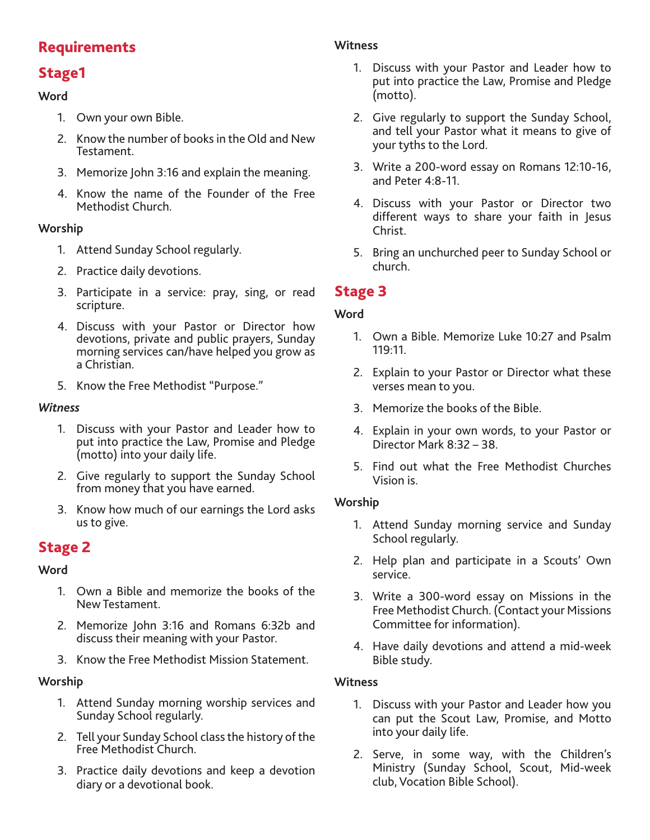# **Requirements**

# Stage1

### **Word**

- 1. Own your own Bible.
- 2. Know the number of books in the Old and New Testament.
- 3. Memorize John 3:16 and explain the meaning.
- 4. Know the name of the Founder of the Free Methodist Church.

#### **Worship**

- 1. Attend Sunday School regularly.
- 2. Practice daily devotions.
- 3. Participate in a service: pray, sing, or read scripture.
- 4. Discuss with your Pastor or Director how devotions, private and public prayers, Sunday morning services can/have helped you grow as a Christian.
- 5. Know the Free Methodist "Purpose."

#### *Witness*

- 1. Discuss with your Pastor and Leader how to put into practice the Law, Promise and Pledge (motto) into your daily life.
- 2. Give regularly to support the Sunday School from money that you have earned.
- 3. Know how much of our earnings the Lord asks us to give.

# Stage 2

#### **Word**

- 1. Own a Bible and memorize the books of the New Testament.
- 2. Memorize John 3:16 and Romans 6:32b and discuss their meaning with your Pastor.
- 3. Know the Free Methodist Mission Statement.

## **Worship**

- 1. Attend Sunday morning worship services and Sunday School regularly.
- 2. Tell your Sunday School class the history of the Free Methodist Church.
- 3. Practice daily devotions and keep a devotion diary or a devotional book.

### **Witness**

- 1. Discuss with your Pastor and Leader how to put into practice the Law, Promise and Pledge (motto).
- 2. Give regularly to support the Sunday School, and tell your Pastor what it means to give of your tyths to the Lord.
- 3. Write a 200-word essay on Romans 12:10-16, and Peter 4:8-11.
- 4. Discuss with your Pastor or Director two different ways to share your faith in Jesus Christ.
- 5. Bring an unchurched peer to Sunday School or church.

# Stage 3

### **Word**

- 1. Own a Bible. Memorize Luke 10:27 and Psalm 119:11.
- 2. Explain to your Pastor or Director what these verses mean to you.
- 3. Memorize the books of the Bible.
- 4. Explain in your own words, to your Pastor or Director Mark 8:32 – 38.
- 5. Find out what the Free Methodist Churches Vision is.

#### **Worship**

- 1. Attend Sunday morning service and Sunday School regularly.
- 2. Help plan and participate in a Scouts' Own service.
- 3. Write a 300-word essay on Missions in the Free Methodist Church. (Contact your Missions Committee for information).
- 4. Have daily devotions and attend a mid-week Bible study.

#### **Witness**

- 1. Discuss with your Pastor and Leader how you can put the Scout Law, Promise, and Motto into your daily life.
- 2. Serve, in some way, with the Children's Ministry (Sunday School, Scout, Mid-week club, Vocation Bible School).